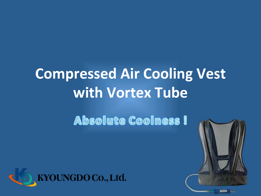# **Compressed Air Cooling Vest** with Vortex Tube

### **Absolute Coolness !**

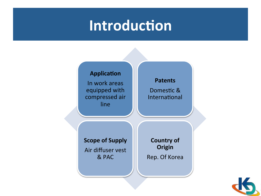### Introduction



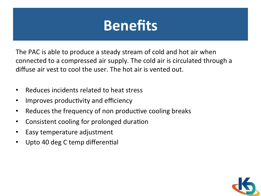### Benefits

The PAC is able to produce a steady stream of cold and hot air when connected to a compressed air supply. The cold air is circulated through a diffuse air vest to cool the user. The hot air is vented out.

- Reduces incidents related to heat stress
- Improves productivity and efficiency
- Reduces the frequency of non productive cooling breaks
- Consistent cooling for prolonged duration
- Easy temperature adjustment
- Upto 40 deg C temp differential

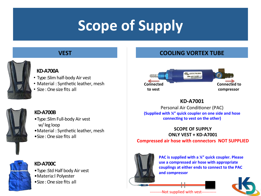### **Scope of Supply**

### **VEST**



#### KD-A700A

- Type : Slim half-body Air vest
- Material : Synthetic leather, mesh
- $\bullet$  Size  $\cdot$  One size fits all



#### KD-A700B

- Type : Slim Full-body Air vest w/leg loop
- Material : Synthetic leather, mesh
- Size : One size fits all



#### KD-A700C

- Type : Std Half body Air vest
- •Materia:l Polyester
- Size : One size fits all

### **COOLING VORTEX TUBE**



### KD-A7001

Personal Air Conditioner (PAC) (Supplied with  $\frac{1}{4}$ " quick coupler on one side and hose connecting to vest on the other)

#### **SCOPE OF SUPPLY** ONLY VEST + KD-A7001 Compressed air hose with connectors NOT SUPPLIED



PAC is supplied with a  $\frac{1}{4}$ " quick coupler. Please use a compressed air hose with appropriate couplings at either ends to connect to the PAC and compressor



---------Not supplied with vest-----------

||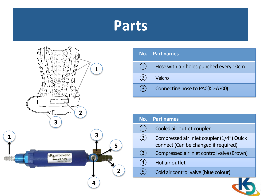### Parts



|     | No. Part names                         |
|-----|----------------------------------------|
| (1) | Hose with air holes punched every 10cm |
| (2) | Velcro                                 |
| (3) | Connecting hose to PAC(KD-A700)        |

| Cooled air outlet coupler<br>$\mathbf 1$<br>Compressed air inlet coupler (1/4") Quick<br>$\overline{2}$<br>connect (Can be changed if required)<br>Compressed air inlet control valve (Brown)<br>3<br>Hot air outlet<br>Cold air control valve (blue colour) | No. | <b>Part names</b> |
|--------------------------------------------------------------------------------------------------------------------------------------------------------------------------------------------------------------------------------------------------------------|-----|-------------------|
|                                                                                                                                                                                                                                                              |     |                   |
|                                                                                                                                                                                                                                                              |     |                   |
|                                                                                                                                                                                                                                                              |     |                   |
|                                                                                                                                                                                                                                                              |     |                   |
|                                                                                                                                                                                                                                                              |     |                   |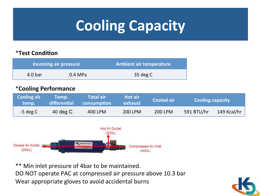## **Cooling Capacity**

### \*Test Condition

|         | Incoming air pressure | <b>Ambient air temperature</b> |
|---------|-----------------------|--------------------------------|
| 4.0 bar | 0.4 MPa               | 35 deg C                       |

#### \*Cooling Performance

| <b>Cooling air</b><br>temp. | Temp. I<br>differential | <b>Total air</b><br>consumption | <b>Hot air</b><br>exhaust | <b>Cooled air</b> | <b>Cooling capacity</b> |                     |
|-----------------------------|-------------------------|---------------------------------|---------------------------|-------------------|-------------------------|---------------------|
| $-5$ deg C                  | $40$ deg C              | 400 LPM                         | 200 LPM                   | <b>200 LPM</b>    | 591 BTU/hr              | 149 Kcal/hr $\vert$ |



\*\* Min inlet pressure of 4bar to be maintained. DO NOT operate PAC at compressed air pressure above 10.3 bar Wear appropriate gloves to avoid accidental burns

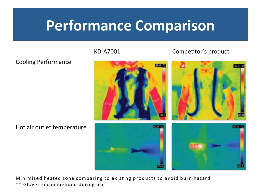### Performance Comparison

### KD-A7001 **Competitor's** product



#### Cooling Performance

Hot air outlet temperature

Minimized heated zone comparing to existing products to avoid burn hazard \*\* Gloves recommended during use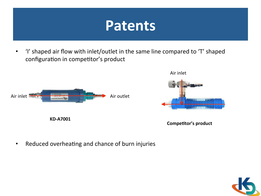### Patents

• 'I' shaped air flow with inlet/outlet in the same line compared to 'T' shaped configuration in competitor's product





Competitor's product

• Reduced overheating and chance of burn injuries

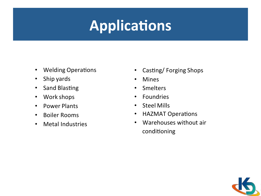### Applications

- Welding Operations
- Ship yards
- Sand Blasting
- Work shops
- Power Plants
- Boiler Rooms
- Metal Industries
- Casting/ Forging Shops
- Mines
- Smelters
- Foundries
- Steel Mills
- HAZMAT Operations
- Warehouses without air conditioning

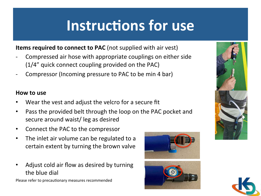### Instructions for use

**Items required to connect to PAC** (not supplied with air vest)

- Compressed air hose with appropriate couplings on either side  $(1/4"$  quick connect coupling provided on the PAC)
- Compressor (Incoming pressure to PAC to be min 4 bar)

#### How to use

- Wear the vest and adjust the velcro for a secure fit
- Pass the provided belt through the loop on the PAC pocket and secure around waist/ leg as desired
- Connect the PAC to the compressor
- The inlet air volume can be regulated to a certain extent by turning the brown valve
- Adjust cold air flow as desired by turning the blue dial

Please refer to precautionary measures recommended







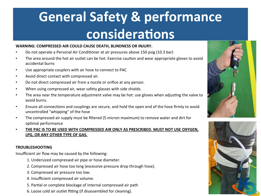### **General Safety & performance** considerations

#### WARNING: COMPRESSED AIR COULD CAUSE DEATH, BLINDNESS OR INJURY.

- Do not operate a Personal Air Conditioner at air pressures above 150 psig (10.3 bar)
- The area around the hot air outlet can be hot. Exercise caution and wear appropriate gloves to avoid accidental burns
- Use appropriate couplers with air hose to connect to PAC
- Avoid direct contact with compressed air.
- Do not direct compressed air from a nozzle or orifice at any person.
- When using compressed air, wear safety glasses with side shields.
- The area near the temperature adjustment valve may be hot: use gloves when adjusting the valve to avoid burns.
- Ensure all connections and couplings are secure, and hold the open end of the hose firmly to avoid uncontrolled "whipping" of the hose
- The compressed air supply must be filtered (5 micron maximum) to remove water and dirt for optimal performance
- THE PAC IS TO BE USED WITH COMPRESSED AIR ONLY AS PRESCRIBED. MUST NOT USE OXYGEN, LPG, OR ANY OTHER TYPE OF GAS.

#### TROUBLESHOOTING

Insufficient air flow may be caused by the following:

- 1. Undersized compressed air pipe or hose diameter.
- 2. Compressed air hose too long (excessive pressure drop through hose).
- 3. Compressed air pressure too low.
- 4. Insufficient compressed air volume.
- 5. Partial or complete blockage of internal compressed air path
- 6. Loose cold air outlet fitting (if disassembled for cleaning).